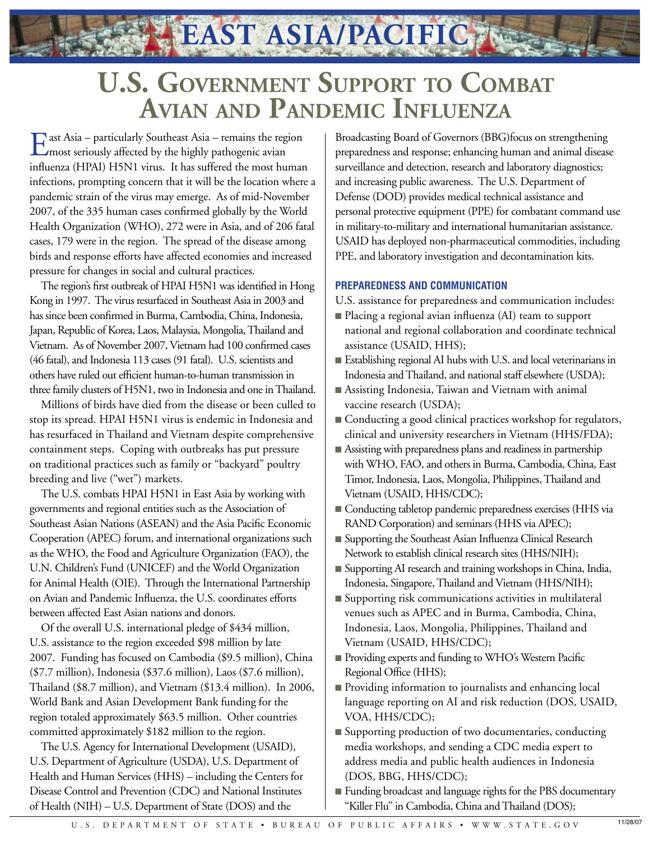## **U.S. Government Support to Combat Avian and Pandemic Influenza**

**EAST ASIA/PACIFIC**

East Asia – particularly Southeast Asia – remains the region<br>
most seriously affected by the highly pathogenic avian influenza (HPAI) H5N1 virus. It has suffered the most human infections, prompting concern that it will be the location where a pandemic strain of the virus may emerge. As of mid-November 2007, of the 335 human cases confirmed globally by the World Health Organization (WHO), 272 were in Asia, and of 206 fatal cases, 179 were in the region. The spread of the disease among birds and response efforts have affected economies and increased pressure for changes in social and cultural practices.

The region's first outbreak of HPAI H5N1 was identified in Hong Kong in 1997. The virus resurfaced in Southeast Asia in 2003 and has since been confirmed in Burma, Cambodia, China, Indonesia, Japan, Republic of Korea, Laos, Malaysia, Mongolia, Thailand and Vietnam. As of November 2007, Vietnam had 100 confirmed cases (46 fatal), and Indonesia 113 cases (91 fatal). U.S. scientists and others have ruled out efficient human-to-human transmission in three family clusters of H5N1, two in Indonesia and one in Thailand.

Millions of birds have died from the disease or been culled to stop its spread. HPAI H5N1 virus is endemic in Indonesia and has resurfaced in Thailand and Vietnam despite comprehensive containment steps. Coping with outbreaks has put pressure on traditional practices such as family or "backyard" poultry breeding and live ("wet") markets.

The U.S. combats HPAI H5N1 in East Asia by working with governments and regional entities such as the Association of Southeast Asian Nations (ASEAN) and the Asia Pacific Economic Cooperation (APEC) forum, and international organizations such as the WHO, the Food and Agriculture Organization (FAO), the U.N. Children's Fund (UNICEF) and the World Organization for Animal Health (OIE). Through the International Partnership on Avian and Pandemic Influenza, the U.S. coordinates efforts between affected East Asian nations and donors.

Of the overall U.S. international pledge of \$434 million, U.S. assistance to the region exceeded \$98 million by late 2007. Funding has focused on Cambodia (\$9.5 million), China (\$7.7 million), Indonesia (\$37.6 million), Laos (\$7.6 million), Thailand (\$8.7 million), and Vietnam (\$13.4 million). In 2006, World Bank and Asian Development Bank funding for the region totaled approximately \$63.5 million. Other countries committed approximately \$182 million to the region.

The U.S. Agency for International Development (USAID), U.S. Department of Agriculture (USDA), U.S. Department of Health and Human Services (HHS) – including the Centers for Disease Control and Prevention (CDC) and National Institutes of Health (NIH) – U.S. Department of State (DOS) and the

Broadcasting Board of Governors (BBG)focus on strengthening preparedness and response; enhancing human and animal disease surveillance and detection, research and laboratory diagnostics; and increasing public awareness. The U.S. Department of Defense (DOD) provides medical technical assistance and personal protective equipment (PPE) for combatant command use in military-to-military and international humanitarian assistance. USAID has deployed non-pharmaceutical commodities, including PPE, and laboratory investigation and decontamination kits.

## **PREPAREDNESS AND COMMUNICATION**

U.S. assistance for preparedness and communication includes:

- Placing a regional avian influenza (AI) team to support national and regional collaboration and coordinate technical assistance (USAID, HHS);
- Establishing regional AI hubs with U.S. and local veterinarians in Indonesia and Thailand, and national staff elsewhere (USDA);
- Assisting Indonesia, Taiwan and Vietnam with animal vaccine research (USDA);
- Conducting a good clinical practices workshop for regulators, clinical and university researchers in Vietnam (HHS/FDA);
- Assisting with preparedness plans and readiness in partnership with WHO, FAO, and others in Burma, Cambodia, China, East Timor, Indonesia, Laos, Mongolia, Philippines, Thailand and Vietnam (USAID, HHS/CDC);
- Conducting tabletop pandemic preparedness exercises (HHS via RAND Corporation) and seminars (HHS via APEC);
- Supporting the Southeast Asian Influenza Clinical Research Network to establish clinical research sites (HHS/NIH);
- Supporting AI research and training workshops in China, India, Indonesia, Singapore, Thailand and Vietnam (HHS/NIH);
- Supporting risk communications activities in multilateral venues such as APEC and in Burma, Cambodia, China, Indonesia, Laos, Mongolia, Philippines, Thailand and Vietnam (USAID, HHS/CDC);
- Providing experts and funding to WHO's Western Pacific Regional Office (HHS);
- Providing information to journalists and enhancing local language reporting on AI and risk reduction (DOS, USAID, VOA, HHS/CDC);
- Supporting production of two documentaries, conducting media workshops, and sending a CDC media expert to address media and public health audiences in Indonesia (DOS, BBG, HHS/CDC);
- Funding broadcast and language rights for the PBS documentary "Killer Flu" in Cambodia, China and Thailand (DOS);